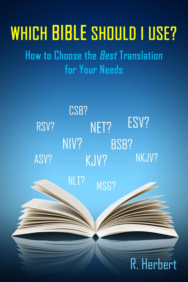# **WHICH BIBLE SHOULD I USE?**

How to Choose the *Best* Translation for Your Needs

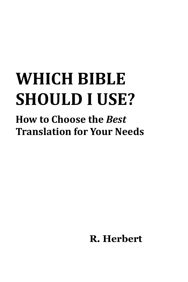## **WHICH BIBLE SHOULD I USE?**

## **How to Choose the** *Best*  **Translation for Your Needs**

**R. Herbert**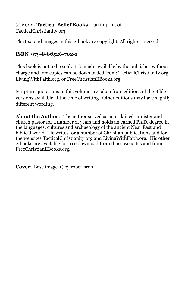**© 2022, Tactical Belief Books –** an imprint of

TacticalChristianity.org

The text and images in this e-book are copyright. All rights reserved.

#### **ISBN 979-8-88526-702-1**

This book is not to be sold. It is made available by the publisher without charge and free copies can be downloaded from: TacticalChristianity.org, LivingWithFaith.org, or FreeChristianEBooks.org.

Scripture quotations in this volume are taken from editions of the Bible versions available at the time of writing. Other editions may have slightly different wording.

**About the Author**: The author served as an ordained minister and church pastor for a number of years and holds an earned Ph.D. degree in the languages, cultures and archaeology of the ancient Near East and biblical world. He writes for a number of Christian publications and for the websites TacticalChristianity.org and LivingWithFaith.org. His other e-books are available for free download from those websites and from FreeChristianEBooks.org.

**Cover:** Base image  $\odot$  by robertsrob.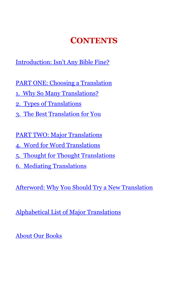## **CONTENTS**

Introductio[n: Isn't Any Bible Fine?](#page-4-0)

PART ONE: Choosing a Translation

- 1. [Why So Many Translations?](#page-7-0)
- 2. [Types of Translations](#page-12-0)
- [3. The Best Translation for You](#page-17-0)

[PART TWO: Major](#page-22-0) Translations

- 4. [Word for Word Translations](#page-23-0)
- 5. [Thought for Thought Translations](#page-33-0)
- [6. Mediating](#page-42-0) Translations

[Afterword: Why You Should Try a New Translation](#page-53-0)

Alphabetical [List of Major Translations](#page-55-0)

[About Our Books](#page-56-0)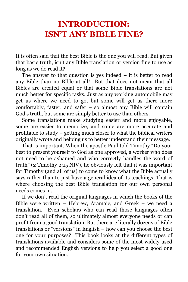## <span id="page-4-0"></span>**INTRODUCTION: ISN'T ANY BIBLE FINE?**

It is often said that the best Bible is the one you will read. But given that basic truth, isn't any Bible translation or version fine to use as long as we do read it?

The answer to that question is yes indeed  $-$  it is better to read any Bible than no Bible at all! But that does not mean that all Bibles are created equal or that some Bible translations are not much better for specific tasks. Just as any working automobile may get us where we need to go, but some will get us there more comfortably, faster, and safer – so almost any Bible will contain God's truth, but some are simply better to use than others.

Some translations make studying easier and more enjoyable, some are easier to memorize, and some are more accurate and profitable to study – getting much closer to what the biblical writers originally wrote and helping us to better understand their message.

That is important. When the apostle Paul told Timothy "Do your best to present yourself to God as one approved, a worker who does not need to be ashamed and who correctly handles the word of truth" (2 Timothy 2:15 NIV), he obviously felt that it was important for Timothy (and all of us) to come to know what the Bible actually says rather than to just have a general idea of its teachings. That is where choosing the best Bible translation for our own personal needs comes in.

If we don't read the original languages in which the books of the Bible were written – Hebrew, Aramaic, and Greek – we need a translation. Even scholars who can read those languages often don't read all of them, so ultimately almost everyone needs or can profit from a good translation. But there are literally dozens of Bible translations or "versions" in English – how can you choose the best one for your purposes? This book looks at the different types of translations available and considers some of the most widely used and recommended English versions to help you select a good one for your own situation.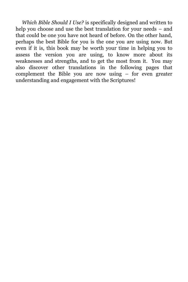*Which Bible Should I Use?* is specifically designed and written to help you choose and use the best translation for your needs – and that could be one you have not heard of before. On the other hand, perhaps the best Bible for you is the one you are using now. But even if it is, this book may be worth your time in helping you to assess the version you are using, to know more about its weaknesses and strengths, and to get the most from it. You may also discover other translations in the following pages that complement the Bible you are now using – for even greater understanding and engagement with the Scriptures!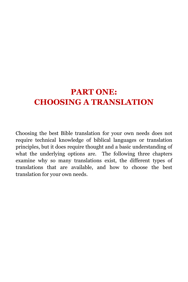## **PART ONE: CHOOSING A TRANSLATION**

Choosing the best Bible translation for your own needs does not require technical knowledge of biblical languages or translation principles, but it does require thought and a basic understanding of what the underlying options are. The following three chapters examine why so many translations exist, the different types of translations that are available, and how to choose the best translation for your own needs.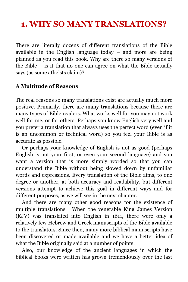## <span id="page-7-0"></span>**1. WHY SO MANY TRANSLATIONS?**

There are literally dozens of different translations of the Bible available in the English language today – and more are being planned as you read this book. Why are there so many versions of the Bible – is it that no one can agree on what the Bible actually says (as some atheists claim)?

#### **A Multitude of Reasons**

The real reasons so many translations exist are actually much more positive. Primarily, there are many translations because there are many types of Bible readers. What works well for you may not work well for me, or for others. Perhaps you know English very well and you prefer a translation that always uses the perfect word (even if it is an uncommon or technical word) so you feel your Bible is as accurate as possible.

Or perhaps your knowledge of English is not as good (perhaps English is not your first, or even your second language) and you want a version that is more simply worded so that you can understand the Bible without being slowed down by unfamiliar words and expressions. Every translation of the Bible aims, to one degree or another, at both accuracy and readability, but different versions attempt to achieve this goal in different ways and for different purposes, as we will see in the next chapter.

And there are many other good reasons for the existence of multiple translations. When the venerable King James Version (KJV) was translated into English in 1611, there were only a relatively few Hebrew and Greek manuscripts of the Bible available to the translators. Since then, many more biblical manuscripts have been discovered or made available and we have a better idea of what the Bible originally said at a number of points.

Also, our knowledge of the ancient languages in which the biblical books were written has grown tremendously over the last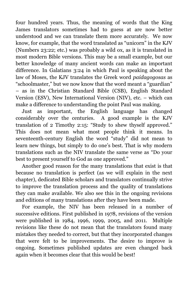four hundred years. Thus, the meaning of words that the King James translators sometimes had to guess at are now better understood and we can translate them more accurately. We now know, for example, that the word translated as "unicorn" in the KJV (Numbers 23:22; etc.) was probably a wild ox, as it is translated in most modern Bible versions. This may be a small example, but our better knowledge of many ancient words can make an important difference. In Galatians 3:24 in which Paul is speaking about the law of Moses, the KJV translates the Greek word *paidagogosas* as "schoolmaster," but we now know that the word meant a "guardian" – as in the Christian Standard Bible (CSB), English Standard Version (ESV), New International Version (NIV), etc. – which can make a difference to understanding the point Paul was making.

Just as important, the English language has changed considerably over the centuries. A good example is the KJV translation of 2 Timothy 2:15: "Study to shew thyself approved." This does not mean what most people think it means. In seventeenth-century English the word "study" did not mean to learn new things, but simply to do one's best. That is why modern translations such as the NIV translate the same verse as "Do your best to present yourself to God as one approved."

Another good reason for the many translations that exist is that because no translation is perfect (as we will explain in the next chapter), dedicated Bible scholars and translators continually strive to improve the translation process and the quality of translations they can make available. We also see this in the ongoing revisions and editions of many translations after they have been made.

For example, the NIV has been released in a number of successive editions. First published in 1978, revisions of the version were published in 1984, 1996, 1999, 2005, and 2011. Multiple revisions like these do not mean that the translators found many mistakes they needed to correct, but that they incorporated changes that were felt to be improvements. The desire to improve is ongoing. Sometimes published updates are even changed back again when it becomes clear that this would be best!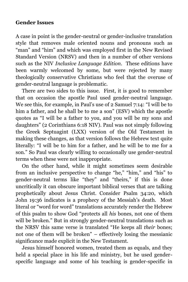#### **Gender Issues**

A case in point is the gender-neutral or gender-inclusive translation style that removes male oriented nouns and pronouns such as "man" and "him" and which was employed first in the New Revised Standard Version (NRSV) and then in a number of other versions such as the NIV *Inclusive Language Edition*. These editions have been warmly welcomed by some, but were rejected by many theologically conservative Christians who feel that the overuse of gender-neutral language is problematic.

There are two sides to this issue. First, it is good to remember that on occasion the apostle Paul used gender-neutral language. We see this, for example, in Paul's use of 2 Samuel 7:14: "I will be to him a father, and he shall be to me a son" (ESV) which the apostle quotes as "I will be a father to you, and you will be my sons and daughters" (2 Corinthians 6:18 NIV). Paul was not simply following the Greek Septuagint (LXX) version of the Old Testament in making these changes, as that version follows the Hebrew text quite literally: "I will be to him for a father, and he will be to me for a son." So Paul was clearly willing to occasionally use gender-neutral terms when these were not inappropriate.

On the other hand, while it might sometimes seem desirable from an inclusive perspective to change "he," "him," and "his" to gender-neutral terms like "they" and "theirs," if this is done uncritically it can obscure important biblical verses that are talking prophetically about Jesus Christ. Consider Psalm 34:20, which John 19:36 indicates is a prophecy of the Messiah's death. Most literal or "word for word" translations accurately render the Hebrew of this psalm to show God "protects all *his* bones, not one of them will be broken." But in strongly gender-neutral translations such as the NRSV this same verse is translated "He keeps all *their* bones; not one of them will be broken" – effectively losing the messianic significance made explicit in the New Testament.

Jesus himself honored women, treated them as equals, and they held a special place in his life and ministry, but he used genderspecific language and some of his teaching is gender-specific in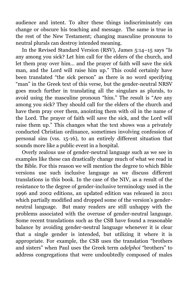audience and intent. To alter these things indiscriminately can change or obscure his teaching and message. The same is true in the rest of the New Testament; changing masculine pronouns to neutral plurals can destroy intended meaning.

In the Revised Standard Version (RSV), James 5:14–15 says "Is any among you sick? Let him call for the elders of the church, and let them pray over him… and the prayer of faith will save the sick man, and the Lord will raise him up." This could certainly have been translated "the sick person" as there is no word specifying "man" in the Greek text of this verse, but the gender-neutral NRSV goes much further in translating all the singulars as plurals, to avoid using the masculine pronoun "him." The result is "Are any among you sick? They should call for the elders of the church and have them pray over them, anointing them with oil in the name of the Lord. The prayer of faith will save the sick, and the Lord will raise them up." This changes what the text shows was a privately conducted Christian ordinance, sometimes involving confession of personal sins (vss. 15-16), to an entirely different situation that sounds more like a public event in a hospital.

Overly zealous use of gender-neutral language such as we see in examples like these can drastically change much of what we read in the Bible. For this reason we will mention the degree to which Bible versions use such inclusive language as we discuss different translations in this book. In the case of the NIV, as a result of the resistance to the degree of gender-inclusive terminology used in the 1996 and 2002 editions, an updated edition was released in 2011 which partially modified and dropped some of the version's genderneutral language. But many readers are still unhappy with the problems associated with the overuse of gender-neutral language. Some recent translations such as the CSB have found a reasonable balance by avoiding gender-neutral language whenever it is clear that a single gender is intended, but utilizing it where it is appropriate. For example, the CSB uses the translation "brothers and sisters" when Paul uses the Greek term *adelphoi* "brothers" to address congregations that were undoubtedly composed of males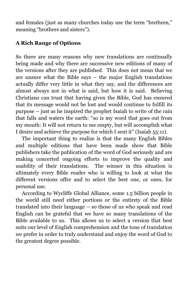and females (just as many churches today use the term "brethren," meaning "brothers and sisters").

#### **A Rich Range of Options**

So there are many reasons why new translations are continually being made and why there are successive new editions of many of the versions after they are published. This does not mean that we are unsure what the Bible says – the major English translations actually differ very little in what they say, and the differences are almost always not in what is said, but how it is said. Believing Christians can trust that having given the Bible, God has ensured that its message would not be lost and would continue to fulfill its purpose – just as he inspired the prophet Isaiah to write of the rain that falls and waters the earth: "so is my word that goes out from my mouth: It will not return to me empty, but will accomplish what I desire and achieve the purpose for which I sent it" (Isaiah 55:11).

The important thing to realize is that the many English Bibles and multiple editions that have been made show that Bible publishers take the publication of the word of God seriously and are making concerted ongoing efforts to improve the quality and usability of their translations. The winner in this situation is ultimately every Bible reader who is willing to look at what the different versions offer and to select the best one, or ones, for personal use.

According to Wycliffe Global Alliance, some 1.5 billion people in the world still need either portions or the entirety of the Bible translated into their language – so those of us who speak and read English can be grateful that we have so many translations of the Bible available to us. This allows us to select a version that best suits our level of English comprehension and the tone of translation we prefer in order to truly understand and enjoy the word of God to the greatest degree possible.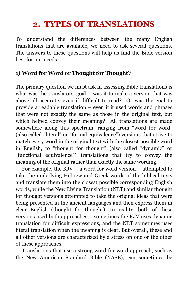## **2. TYPES OF TRANSLATIONS**

<span id="page-12-0"></span>To understand the differences between the many English translations that are available, we need to ask several questions. The answers to these questions will help us find the Bible version best for our needs.

#### **1) Word for Word or Thought for Thought?**

The primary question we must ask in assessing Bible translations is what was the translators' goal – was it to make a version that was above all accurate, even if difficult to read? Or was the goal to provide a readable translation – even if it used words and phrases that were not exactly the same as those in the original text, but which helped convey their meaning? All translations are made somewhere along this spectrum, ranging from "word for word" (also called "literal" or "formal equivalence") versions that strive to match every word in the original text with the closest possible word in English, to "thought for thought" (also called "dynamic" or "functional equivalence") translations that try to convey the meaning of the original rather than exactly the same wording.

For example, the KJV – a word for word version – attempted to take the underlying Hebrew and Greek words of the biblical texts and translate them into the closest possible corresponding English words, while the New Living Translation (NLT) and similar thought for thought versions attempted to take the original ideas that were being presented in the ancient languages and then express them in clear English (thought for thought). In reality, both of these versions used both approaches – sometimes the KJV uses dynamic translation for difficult expressions, and the NLT sometimes uses literal translation when the meaning is clear. But overall, these and all other versions are characterized by a stress on one or the other of these approaches.

Translations that use a strong word for word approach, such as the New American Standard Bible (NASB), can sometimes be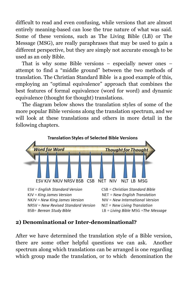difficult to read and even confusing, while versions that are almost entirely meaning-based can lose the true nature of what was said. Some of these versions, such as The Living Bible (LB) or The Message (MSG), are really paraphrases that may be used to gain a different perspective, but they are simply not accurate enough to be used as an only Bible.

That is why some Bible versions – especially newer ones – attempt to find a "middle ground" between the two methods of translation. The Christian Standard Bible is a good example of this, employing an "optimal equivalence" approach that combines the best features of formal equivalence (word for word) and dynamic equivalence (thought for thought) translations.

The diagram below shows the translation styles of some of the more popular Bible versions along the translation spectrum, and we will look at these translations and others in more detail in the following chapters.



#### **2) Denominational or Inter-denominational?**

After we have determined the translation style of a Bible version, there are some other helpful questions we can ask. Another spectrum along which translations can be arranged is one regarding which group made the translation, or to which denomination the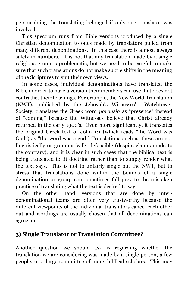person doing the translating belonged if only one translator was involved.

This spectrum runs from Bible versions produced by a single Christian denomination to ones made by translators pulled from many different denominations. In this case there is almost always safety in numbers. It is not that any translation made by a single religious group is problematic, but we need to be careful to make sure that such translations do not make subtle shifts in the meaning of the Scriptures to suit their own views.

In some cases, individual denominations have translated the Bible in order to have a version their members can use that does not contradict their teachings. For example, the New World Translation (NWT), published by the Jehovah's Witnesses' Watchtower Society, translates the Greek word *parousia* as "presence" instead of "coming," because the Witnesses believe that Christ already returned in the early 1900's. Even more significantly, it translates the original Greek text of John 1:1 (which reads "the Word was God") as "the word was a god." Translations such as these are not linguistically or grammatically defensible (despite claims made to the contrary), and it is clear in such cases that the biblical text is being translated to fit doctrine rather than to simply render what the text says. This is not to unfairly single out the NWT, but to stress that translations done within the bounds of a single denomination or group can sometimes fall prey to the mistaken practice of translating what the text is desired to say.

On the other hand, versions that are done by interdenominational teams are often very trustworthy because the different viewpoints of the individual translators cancel each other out and wordings are usually chosen that all denominations can agree on.

#### **3) Single Translator or Translation Committee?**

Another question we should ask is regarding whether the translation we are considering was made by a single person, a few people, or a large committee of many biblical scholars. This may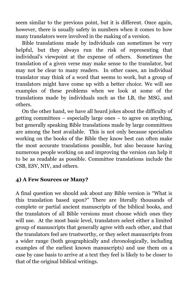seem similar to the previous point, but it is different. Once again, however, there is usually safety in numbers when it comes to how many translators were involved in the making of a version.

Bible translations made by individuals can sometimes be very helpful, but they always run the risk of representing that individual's viewpoint at the expense of others. Sometimes the translation of a given verse may make sense to the translator, but may not be clear to many readers. In other cases, an individual translator may think of a word that seems to work, but a group of translators might have come up with a better choice. We will see examples of these problems when we look at some of the translations made by individuals such as the LB, the MSG, and others.

On the other hand, we have all heard jokes about the difficulty of getting committees – especially large ones – to agree on anything, but generally speaking Bible translations made by large committees are among the best available. This is not only because specialists working on the books of the Bible they know best can often make the most accurate translations possible, but also because having numerous people working on and improving the version can help it to be as readable as possible. Committee translations include the CSB, ESV, NIV, and others.

#### **4) A Few Sources or Many?**

A final question we should ask about any Bible version is "What is this translation based upon?" There are literally thousands of complete or partial ancient manuscripts of the biblical books, and the translators of all Bible versions must choose which ones they will use. At the most basic level, translators select either a limited group of manuscripts that generally agree with each other, and that the translators feel are trustworthy, or they select manuscripts from a wider range (both geographically and chronologically, including examples of the earliest known manuscripts) and use them on a case by case basis to arrive at a text they feel is likely to be closer to that of the original biblical writings.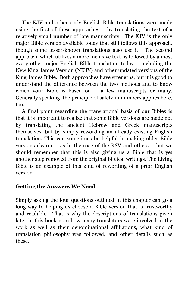The KJV and other early English Bible translations were made using the first of these approaches – by translating the text of a relatively small number of late manuscripts. The KJV is the only major Bible version available today that still follows this approach, though some lesser-known translations also use it. The second approach, which utilizes a more inclusive text, is followed by almost every other major English Bible translation today – including the New King James Version (NKJV) and other updated versions of the King James Bible. Both approaches have strengths, but it is good to understand the difference between the two methods and to know which your Bible is based on  $-$  a few manuscripts or many. Generally speaking, the principle of safety in numbers applies here, too.

A final point regarding the translational basis of our Bibles is that it is important to realize that some Bible versions are made not by translating the ancient Hebrew and Greek manuscripts themselves, but by simply rewording an already existing English translation. This can sometimes be helpful in making older Bible versions clearer – as in the case of the RSV and others – but we should remember that this is also giving us a Bible that is yet another step removed from the original biblical writings. The Living Bible is an example of this kind of rewording of a prior English version.

#### **Getting the Answers We Need**

Simply asking the four questions outlined in this chapter can go a long way to helping us choose a Bible version that is trustworthy and readable. That is why the descriptions of translations given later in this book note how many translators were involved in the work as well as their denominational affiliations, what kind of translation philosophy was followed, and other details such as these.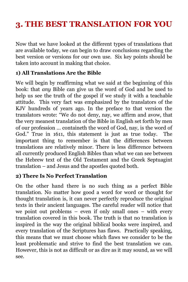## <span id="page-17-0"></span>**3. THE BEST TRANSLATION FOR YOU**

Now that we have looked at the different types of translations that are available today, we can begin to draw conclusions regarding the best version or versions for our own use. Six key points should be taken into account in making that choice.

#### **1) All Translations Are the Bible**

We will begin by reaffirming what we said at the beginning of this book: that *any* Bible can give us the word of God and be used to help us see the truth of the gospel if we study it with a teachable attitude. This very fact was emphasized by the translators of the KJV hundreds of years ago. In the preface to that version the translators wrote: "We do not deny, nay, we affirm and avow, that the very meanest translation of the Bible in English set forth by men of our profession … containeth the word of God, nay, is the word of God." True in 1611, this statement is just as true today. The important thing to remember is that the differences between translations are relatively minor. There is less difference between all currently produced English Bibles than what we can see between the Hebrew text of the Old Testament and the Greek Septuagint translation – and Jesus and the apostles quoted both.

#### **2) There Is No Perfect Translation**

On the other hand there is no such thing as a perfect Bible translation. No matter how good a word for word or thought for thought translation is, it can never perfectly reproduce the original texts in their ancient languages. The careful reader will notice that we point out problems – even if only small ones – with every translation covered in this book. The truth is that no translation is inspired in the way the original biblical books were inspired, and every translation of the Scriptures has flaws. Practically speaking, this means that we must choose which flaws we consider to be the least problematic and strive to find the best translation we can. However, this is not as difficult or as dire as it may sound, as we will see.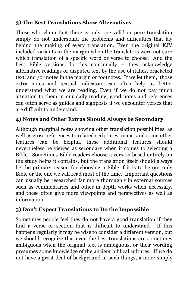#### **3) The Best Translations Show Alternatives**

Those who claim that there is only one valid or pure translation simply do not understand the problems and difficulties that lay behind the making of every translation. Even the original KJV included variants in the margin when the translators were not sure which translation of a specific word or verse to choose. And the best Bible versions do this continually – they acknowledge alternative readings or disputed text by the use of italics, bracketed text, and /or notes in the margin or footnotes. If we let them, those extra notes and textual indicators can often help us better understand what we are reading. Even if we do not pay much attention to them in our daily reading, good notes and references can often serve as guides and signposts if we encounter verses that are difficult to understand.

#### **4) Notes and Other Extras Should Always be Secondary**

Although marginal notes showing other translation possibilities, as well as cross-references to related scriptures, maps, and some other features can be helpful, these additional features should nevertheless be viewed as secondary when it comes to selecting a Bible. Sometimes Bible readers choose a version based entirely on the study helps it contains, but the translation itself should always be the primary reason for choosing a Bible if it is to be our only Bible or the one we will read most of the time. Important questions can usually be researched far more thoroughly in external sources such as commentaries and other in-depth works when necessary, and these often give more viewpoints and perspectives as well as information.

#### **5) Don't Expect Translations to Do the Impossible**

Sometimes people feel they do not have a good translation if they find a verse or section that is difficult to understand. If this happens regularly it may be wise to consider a different version, but we should recognize that even the best translations are sometimes ambiguous when the original text is ambiguous, or their wording presumes some knowledge of the ancient biblical cultures. If we do not have a great deal of background in such things, a more simply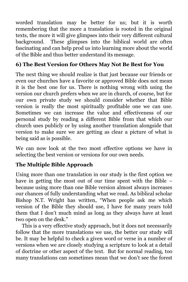worded translation may be better for us; but it is worth remembering that the more a translation is rooted in the original texts, the more it will give glimpses into their very different cultural background. These glimpses into the biblical world are often fascinating and can help prod us into learning more about the world of the Bible and thus better understand its message.

#### **6) The Best Version for Others May Not Be Best for You**

The next thing we should realize is that just because our friends or even our churches have a favorite or approved Bible does not mean it is the best one for us. There is nothing wrong with using the version our church prefers when we are in church, of course, but for our own private study we should consider whether that Bible version is really the most spiritually profitable one we can use. Sometimes we can increase the value and effectiveness of our personal study by reading a different Bible from that which our church uses publicly or by using another translation alongside that version to make sure we are getting as clear a picture of what is being said as is possible.

We can now look at the two most effective options we have in selecting the best version or versions for our own needs.

#### **The Multiple Bible Approach**

Using more than one translation in our study is the first option we have in getting the most out of our time spent with the Bible – because using more than one Bible version almost always increases our chances of fully understanding what we read. As biblical scholar Bishop N.T. Wright has written, "When people ask me which version of the Bible they should use, I have for many years told them that I don't much mind as long as they always have at least two open on the desk."

This is a very effective study approach, but it does not necessarily follow that the more translations we use, the better our study will be. It may be helpful to check a given word or verse in a number of versions when we are closely studying a scripture to look at a detail of doctrine or other aspect of the text. But for normal reading, too many translations can sometimes mean that we don't see the forest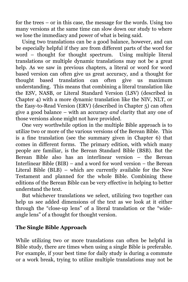for the trees – or in this case, the message for the words. Using too many versions at the same time can slow down our study to where we lose the immediacy and power of what is being said.

Using two translations can be a good balance, however, and can be especially helpful if they are from different parts of the word for word – thought for thought spectrum. Using multiple literal translations or multiple dynamic translations may not be a great help. As we saw in previous chapters, a literal or word for word based version can often give us great accuracy, and a thought for thought based translation can often give us maximum understanding. This means that combining a literal translation like the ESV, NASB, or Literal Standard Version (LSV) (described in Chapter 4) with a more dynamic translation like the NIV, NLT, or the Easy-to-Read Version (ERV) (described in Chapter 5) can often give a good balance – with an accuracy *and* clarity that any one of those versions alone might not have provided.

One very worthwhile option in the multiple Bible approach is to utilize two or more of the various versions of the Berean Bible. This is a fine translation (see the summary given in Chapter 6) that comes in different forms. The primary edition, with which many people are familiar, is the Berean Standard Bible (BSB). But the Berean Bible also has an interlinear version – the Berean Interlinear Bible (BIB) – and a word for word version – the Berean Literal Bible (BLB) – which are currently available for the New Testament and planned for the whole Bible. Combining these editions of the Berean Bible can be very effective in helping to better understand the text.

But whichever translations we select, utilizing two together can help us see added dimensions of the text as we look at it either through the "close-up lens" of a literal translation or the "wideangle lens" of a thought for thought version.

#### **The Single Bible Approach**

While utilizing two or more translations can often be helpful in Bible study, there are times when using a single Bible is preferable. For example, if your best time for daily study is during a commute or a work break, trying to utilize multiple translations may not be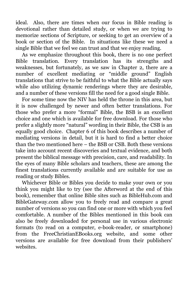ideal. Also, there are times when our focus in Bible reading is devotional rather than detailed study, or when we are trying to memorize sections of Scripture, or seeking to get an overview of a book or section of the Bible. In situations like these we need a single Bible that we feel we can trust and that we enjoy reading.

As we emphasize throughout this book, there is no one perfect Bible translation. Every translation has its strengths and weaknesses, but fortunately, as we saw in Chapter 2, there are a number of excellent mediating or "middle ground" English translations that strive to be faithful to what the Bible actually says while also utilizing dynamic renderings where they are desirable, and a number of these versions fill the need for a good single Bible.

For some time now the NIV has held the throne in this area, but it is now challenged by newer and often better translations. For those who prefer a more "formal" Bible, the BSB is an excellent choice and one which is available for free download. For those who prefer a slightly more "natural" wording in their Bible, the CSB is an equally good choice. Chapter 6 of this book describes a number of mediating versions in detail, but it is hard to find a better choice than the two mentioned here – the BSB or CSB. Both these versions take into account recent discoveries and textual evidence, and both present the biblical message with precision, care, and readability. In the eyes of many Bible scholars and teachers, these are among the finest translations currently available and are suitable for use as reading or study Bibles.

Whichever Bible or Bibles you decide to make your own or you think you might like to try (see the Afterword at the end of this book), remember that online Bible sites such as BibleHub.com and BibleGateway.com allow you to freely read and compare a great number of versions so you can find one or more with which you feel comfortable. A number of the Bibles mentioned in this book can also be freely downloaded for personal use in various electronic formats (to read on a computer, e-book-reader, or smartphone) from the FreeChristianEBooks.org website, and some other versions are available for free download from their publishers' websites.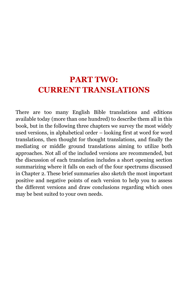### <span id="page-22-0"></span>**PART TWO: CURRENT TRANSLATIONS**

There are too many English Bible translations and editions available today (more than one hundred) to describe them all in this book, but in the following three chapters we survey the most widely used versions, in alphabetical order – looking first at word for word translations, then thought for thought translations, and finally the mediating or middle ground translations aiming to utilize both approaches. Not all of the included versions are recommended, but the discussion of each translation includes a short opening section summarizing where it falls on each of the four spectrums discussed in Chapter 2. These brief summaries also sketch the most important positive and negative points of each version to help you to assess the different versions and draw conclusions regarding which ones may be best suited to your own needs.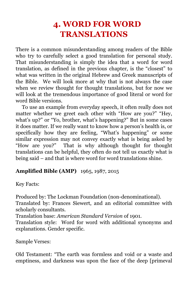## **4. WORD FOR WORD TRANSLATIONS**

<span id="page-23-0"></span>There is a common misunderstanding among readers of the Bible who try to carefully select a good translation for personal study. That misunderstanding is simply the idea that a word for word translation, as defined in the previous chapter, is the "closest" to what was written in the original Hebrew and Greek manuscripts of the Bible. We will look more at why that is not always the case when we review thought for thought translations, but for now we will look at the tremendous importance of good literal or word for word Bible versions.

To use an example from everyday speech, it often really does not matter whether we greet each other with "How are you?" "Hey, what's up?" or "Yo, brother, what's happening?" But in some cases it does matter. If we really want to know how a person's health is, or specifically how they are feeling, "What's happening" or some similar expression may not convey exactly what is being asked by "How are you?" That is why although thought for thought translations can be helpful, they often do not tell us exactly what is being said – and that is where word for word translations shine.

#### **Amplified Bible (AMP)** 1965, 1987, 2015

Key Facts:

Produced by: The Lockman Foundation (non-denominational).

Translated by: Frances Siewert, and an editorial committee with scholarly consultants.

Translation base: *American Standard Version* of 1901.

Translation style: Word for word with additional synonyms and explanations. Gender specific.

Sample Verses:

Old Testament: "The earth was formless and void or a waste and emptiness, and darkness was upon the face of the deep [primeval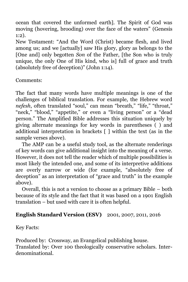ocean that covered the unformed earth]. The Spirit of God was moving (hovering, brooding) over the face of the waters" (Genesis 1:2).

New Testament: "And the Word (Christ) became flesh, and lived among us; and we [actually] saw His glory, glory as belongs to the [One and] only begotten *Son* of the Father, [the Son who is truly unique, the only One of His kind, who is] full of grace and truth (absolutely free of deception)" (John 1:14).

Comments:

The fact that many words have multiple meanings is one of the challenges of biblical translation. For example, the Hebrew word *nefesh*, often translated "soul," can mean "breath," "life," "throat," "neck," "blood," "appetite," or even a "living person" or a "dead person." The Amplified Bible addresses this situation uniquely by giving alternate meanings for key words in parentheses ( ) and additional interpretation in brackets [ ] within the text (as in the sample verses above).

The AMP can be a useful study tool, as the alternate renderings of key words can give additional insight into the meaning of a verse. However, it does not tell the reader which of multiple possibilities is most likely the intended one, and some of its interpretive additions are overly narrow or wide (for example, "absolutely free of deception" as an interpretation of "grace and truth" in the example above).

Overall, this is not a version to choose as a primary Bible – both because of its style and the fact that it was based on a 1901 English translation – but used with care it is often helpful.

#### **English Standard Version (ESV)** 2001, 2007, 2011, 2016

Key Facts:

Produced by: Crossway, an Evangelical publishing house. Translated by: Over 100 theologically conservative scholars. Interdenominational.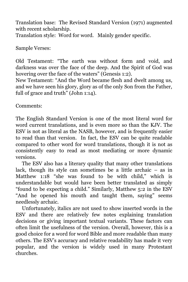Translation base: The Revised Standard Version (1971) augmented with recent scholarship. Translation style: Word for word. Mainly gender specific.

Sample Verses:

Old Testament: "The earth was without form and void, and darkness was over the face of the deep. And the Spirit of God was hovering over the face of the waters" (Genesis 1:2).

New Testament: "And the Word became flesh and dwelt among us, and we have seen his glory, glory as of the only Son from the Father, full of grace and truth" (John 1:14).

Comments:

The English Standard Version is one of the most literal word for word current translations, and is even more so than the KJV. The ESV is not as literal as the NASB, however, and is frequently easier to read than that version. In fact, the ESV can be quite readable compared to other word for word translations, though it is not as consistently easy to read as most mediating or more dynamic versions.

The ESV also has a literary quality that many other translations lack, though its style can sometimes be a little archaic  $-$  as in Matthew 1:18 "she was found to be with child," which is understandable but would have been better translated as simply "found to be expecting a child." Similarly, Matthew 5:2 in the ESV "And he opened his mouth and taught them, saying" seems needlessly archaic.

Unfortunately, italics are not used to show inserted words in the ESV and there are relatively few notes explaining translation decisions or giving important textual variants. These factors can often limit the usefulness of the version. Overall, however, this is a good choice for a word for word Bible and more readable than many others. The ESV's accuracy and relative readability has made it very popular, and the version is widely used in many Protestant churches.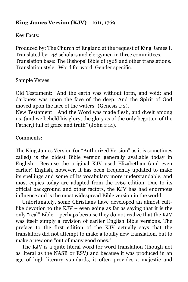#### **King James Version (KJV)** 1611, 1769

Key Facts:

Produced by: The Church of England at the request of King James I. Translated by: 48 scholars and clergymen in three committees. Translation base: The Bishops' Bible of 1568 and other translations. Translation style: Word for word. Gender specific.

Sample Verses:

Old Testament: "And the earth was without form, and void; and darkness was upon the face of the deep. And the Spirit of God moved upon the face of the waters" (Genesis 1:2).

New Testament: "And the Word was made flesh, and dwelt among us, (and we beheld his glory, the glory as of the only begotten of the Father,) full of grace and truth" (John 1:14).

Comments:

The King James Version (or "Authorized Version" as it is sometimes called) is the oldest Bible version generally available today in English. Because the original KJV used Elizabethan (and even earlier) English, however, it has been frequently updated to make its spellings and some of its vocabulary more understandable, and most copies today are adapted from the 1769 edition. Due to its official background and other factors, the KJV has had enormous influence and is the most widespread Bible version in the world.

Unfortunately, some Christians have developed an almost cultlike devotion to the KJV – even going as far as saying that it is the only "real" Bible – perhaps because they do not realize that the KJV was itself simply a revision of earlier English Bible versions. The preface to the first edition of the KJV actually says that the translators did not attempt to make a totally new translation, but to make a new one "out of many good ones."

The KJV is a quite literal word for word translation (though not as literal as the NASB or ESV) and because it was produced in an age of high literary standards, it often provides a majestic and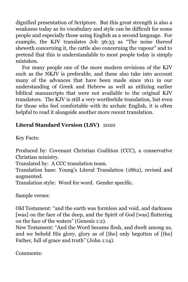dignified presentation of Scripture. But this great strength is also a weakness today as its vocabulary and style can be difficult for some people and especially those using English as a second language. For example, the KJV translates Job 36:33 as "The noise thereof sheweth concerning it, the cattle also concerning the vapour" and to pretend that this is understandable to most people today is simply mistaken.

For many people one of the more modern revisions of the KJV such as the NKJV is preferable, and these also take into account many of the advances that have been made since 1611 in our understanding of Greek and Hebrew as well as utilizing earlier biblical manuscripts that were not available to the original KJV translators. The KJV is still a very worthwhile translation, but even for those who feel comfortable with its archaic English, it is often helpful to read it alongside another more recent translation.

#### **Literal Standard Version (LSV)** 2020

Key Facts:

Produced by: Covenant Christian Coalition (CCC), a conservative Christian ministry.

Translated by: A CCC translation team.

Translation base: Young's Literal Translation (1862), revised and augmented.

Translation style: Word for word. Gender specific.

Sample verses:

Old Testament: "and the earth was formless and void, and darkness [was] on the face of the deep, and the Spirit of God [was] fluttering on the face of the waters" (Genesis 1:2).

New Testament: "And the Word became flesh, and dwelt among us, and we beheld His glory, glory as of [the] only begotten of [the] Father, full of grace and truth" (John 1:14).

Comments: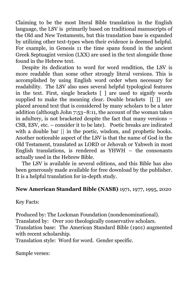Claiming to be the most literal Bible translation in the English language, the LSV is primarily based on traditional manuscripts of the Old and New Testaments, but this translation base is expanded by utilizing other text-types when their evidence is deemed helpful. For example, in Genesis 11 the time spans found in the ancient Greek Septuagint version (LXX) are used in the text alongside those found in the Hebrew text.

Despite its dedication to word for word rendition, the LSV is more readable than some other strongly literal versions. This is accomplished by using English word order when necessary for readability. The LSV also uses several helpful typological features in the text. First, single brackets  $\lceil \cdot \rceil$  are used to signify words supplied to make the meaning clear. Double brackets [[ ]] are placed around text that is considered by many scholars to be a later addition (although John 7:53–8:11, the account of the woman taken in adultery, is not bracketed despite the fact that many versions – CSB, ESV, etc. – consider it to be late). Poetic breaks are indicated with a double bar  $||$  in the poetic, wisdom, and prophetic books. Another noticeable aspect of the LSV is that the name of God in the Old Testament, translated as LORD or Jehovah or Yahweh in most English translations, is rendered as  $YHWH -$  the consonants actually used in the Hebrew Bible.

The LSV is available in several editions, and this Bible has also been generously made available for free download by the publisher. It is a helpful translation for in-depth study.

#### **New American Standard Bible (NASB)** 1971, 1977, 1995, 2020

Key Facts:

Produced by: The Lockman Foundation (nondenominational). Translated by: Over 100 theologically conservative scholars. Translation base: The American Standard Bible (1901) augmented with recent scholarship.

Translation style: Word for word. Gender specific.

Sample verses: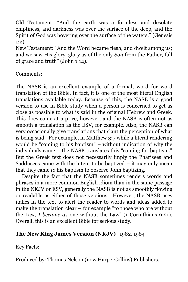Old Testament: "And the earth was a formless and desolate emptiness, and darkness was over the surface of the deep, and the Spirit of God was hovering over the surface of the waters." (Genesis 1:2).

New Testament: "And the Word became flesh, and dwelt among us; and we saw His glory, glory as of the only *Son* from the Father, full of grace and truth" (John 1:14).

Comments:

The NASB is an excellent example of a formal, word for word translation of the Bible. In fact, it is one of the most literal English translations available today. Because of this, the NASB is a good version to use in Bible study when a person is concerned to get as close as possible to what is said in the original Hebrew and Greek. This does come at a price, however, and the NASB is often not as smooth a translation as the ESV, for example. Also, the NASB can very occasionally give translations that slant the perception of what is being said. For example, in Matthew 3:7 while a literal rendering would be "coming to his baptism" – without indication of why the individuals came – the NASB translates this "coming for baptism." But the Greek text does not necessarily imply the Pharisees and Sadducees came with the intent to be baptized  $-$  it may only mean that they came *to* his baptism to observe John baptizing.

Despite the fact that the NASB sometimes renders words and phrases in a more common English idiom than in the same passage in the NKJV or ESV, generally the NASB is not as smoothly flowing or readable as either of those versions. However, the NASB uses italics in the text to alert the reader to words and ideas added to make the translation clear – for example "to those who are without the Law, *I became as* one without the Law" (1 Corinthians 9:21). Overall, this is an excellent Bible for serious study.

#### **The New King James Version (NKJV)** 1982, 1984

Key Facts:

Produced by: Thomas Nelson (now HarperCollins) Publishers.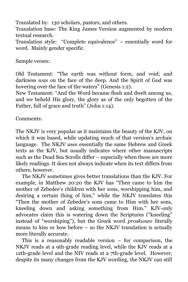Translated by: 130 scholars, pastors, and others.

Translation base: The King James Version augmented by modern textual research.

Translation style: "Complete equivalence" – essentially word for word. Mainly gender specific.

Sample verses:

Old Testament: "The earth was without form, and void; and darkness *was* on the face of the deep. And the Spirit of God was hovering over the face of the waters" (Genesis 1:2).

New Testament: "And the Word became flesh and dwelt among us, and we beheld His glory, the glory as of the only begotten of the Father, full of grace and truth" (John 1:14).

Comments:

The NKJV is very popular as it maintains the beauty of the KJV, on which it was based, while updating much of that version's archaic language. The NKJV uses essentially the same Hebrew and Greek texts as the KJV, but usually indicates where other manuscripts such as the Dead Sea Scrolls differ – especially when these are more likely readings. It does not always indicate when its text differs from others, however.

The NKJV sometimes gives better translations than the KJV. For example, in Matthew 20:20 the KJV has "Then came to him the mother of Zebedee's children with her sons, worshipping him, and desiring a certain thing of him," while the NKJV translates this "Then the mother of Zebedee's sons came to Him with her sons, kneeling down and asking something from Him." KJV-only advocates claim this is watering down the Scriptures ("kneeling" instead of "worshiping"), but the Greek word *proskuneo* literally means to kiss or bow before – so the NKJV translation is actually more literally accurate.

This is a reasonably readable version – for comparison, the NKJV reads at a 9th-grade reading level, while the KJV reads at a 12th-grade level and the NIV reads at a 7th-grade level. However, despite its many changes from the KJV wording, the NKJV can still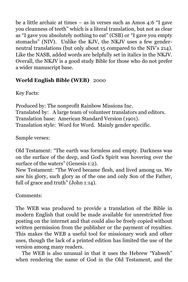be a little archaic at times – as in verses such as Amos 4:6 "I gave you cleanness of teeth" which is a literal translation, but not as clear as "I gave you absolutely nothing to eat" (CSB) or "I gave you empty stomachs" (NIV). Unlike the KJV, the NKJV uses a few genderneutral translations (but only about 15 compared to the NIV's 214). Like the NASB, added words are helpfully set in italics in the NKJV. Overall, the NKJV is a good study Bible for those who do not prefer a wider manuscript base.

#### **World English Bible (WEB)** 2000

Key Facts:

Produced by: The nonprofit Rainbow Missions Inc. Translated by: A large team of volunteer translators and editors. Translation base: American Standard Version (1901). Translation style: Word for Word. Mainly gender specific.

Sample verses:

Old Testament: "The earth was formless and empty. Darkness was on the surface of the deep, and God's Spirit was hovering over the surface of the waters" (Genesis 1:2).

New Testament: "The Word became flesh, and lived among us. We saw his glory, such glory as of the one and only Son of the Father, full of grace and truth" (John 1:14).

Comments:

The WEB was produced to provide a translation of the Bible in modern English that could be made available for unrestricted free posting on the internet and that could also be freely copied without written permission from the publisher or the payment of royalties. This makes the WEB a useful tool for missionary work and other uses, though the lack of a printed edition has limited the use of the version among many readers.

The WEB is also unusual in that it uses the Hebrew "Yahweh" when rendering the name of God in the Old Testament, and the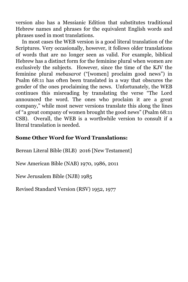version also has a Messianic Edition that substitutes traditional Hebrew names and phrases for the equivalent English words and phrases used in most translations.

In most cases the WEB version is a good literal translation of the Scriptures. Very occasionally, however, it follows older translations of words that are no longer seen as valid. For example, biblical Hebrew has a distinct form for the feminine plural when women are exclusively the subjects. However, since the time of the KJV the feminine plural *mebasarot* ("[women] proclaim good news") in Psalm 68:11 has often been translated in a way that obscures the gender of the ones proclaiming the news. Unfortunately, the WEB continues this misreading by translating the verse "The Lord announced the word. The ones who proclaim it are a great company," while most newer versions translate this along the lines of "a great company of women brought the good news" (Psalm 68:11 CSB). Overall, the WEB is a worthwhile version to consult if a literal translation is needed.

#### **Some Other Word for Word Translations:**

Berean Literal Bible (BLB) 2016 [New Testament]

New American Bible (NAB) 1970, 1986, 2011

New Jerusalem Bible (NJB) 1985

Revised Standard Version (RSV) 1952, 1977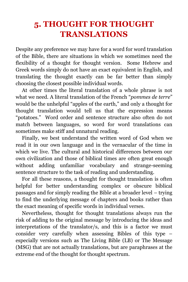## <span id="page-33-0"></span>**5. THOUGHT FOR THOUGHT TRANSLATIONS**

Despite any preference we may have for a word for word translation of the Bible, there are situations in which we sometimes need the flexibility of a thought for thought version. Some Hebrew and Greek words simply do not have an exact equivalent in English, and translating the thought exactly can be far better than simply choosing the closest possible individual words.

At other times the literal translation of a whole phrase is not what we need. A literal translation of the French "*pommes de terre*" would be the unhelpful "apples of the earth," and only a thought for thought translation would tell us that the expression means "potatoes." Word order and sentence structure also often do not match between languages, so word for word translations can sometimes make stiff and unnatural reading.

Finally, we best understand the written word of God when we read it in our own language and in the vernacular of the time in which we live. The cultural and historical differences between our own civilization and those of biblical times are often great enough without adding unfamiliar vocabulary and strange-seeming sentence structure to the task of reading and understanding.

For all these reasons, a thought for thought translation is often helpful for better understanding complex or obscure biblical passages and for simply reading the Bible at a broader level – trying to find the underlying message of chapters and books rather than the exact meaning of specific words in individual verses.

Nevertheless, thought for thought translations always run the risk of adding to the original message by introducing the ideas and interpretations of the translator/s, and this is a factor we must consider very carefully when assessing Bibles of this type – especially versions such as The Living Bible (LB) or The Message (MSG) that are not actually translations, but are paraphrases at the extreme end of the thought for thought spectrum.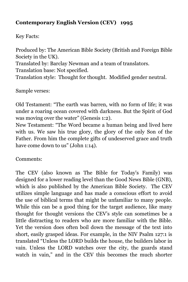#### **Contemporary English Version (CEV) 1995**

Key Facts:

Produced by: The American Bible Society (British and Foreign Bible Society in the UK). Translated by: Barclay Newman and a team of translators. Translation base: Not specified. Translation style: Thought for thought. Modified gender neutral.

Sample verses:

Old Testament: "The earth was barren, with no form of life; it was under a roaring ocean covered with darkness. But the Spirit of God was moving over the water" (Genesis 1:2).

New Testament: "The Word became a human being and lived here with us. We saw his true glory, the glory of the only Son of the Father. From him the complete gifts of undeserved grace and truth have come down to us" (John 1:14).

Comments:

The CEV (also known as The Bible for Today's Family) was designed for a lower reading level than the Good News Bible (GNB), which is also published by the American Bible Society. The CEV utilizes simple language and has made a conscious effort to avoid the use of biblical terms that might be unfamiliar to many people. While this can be a good thing for the target audience, like many thought for thought versions the CEV's style can sometimes be a little distracting to readers who are more familiar with the Bible. Yet the version does often boil down the message of the text into short, easily grasped ideas. For example, in the NIV Psalm 127:1 is translated "Unless the LORD builds the house, the builders labor in vain. Unless the LORD watches over the city, the guards stand watch in vain," and in the CEV this becomes the much shorter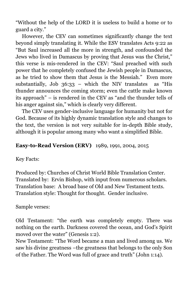"Without the help of the LORD it is useless to build a home or to guard a city."

However, the CEV can sometimes significantly change the text beyond simply translating it. While the ESV translates Acts 9:22 as "But Saul increased all the more in strength, and confounded the Jews who lived in Damascus by proving that Jesus was the Christ," this verse is mis-rendered in the CEV: "Saul preached with such power that he completely confused the Jewish people in Damascus, as he tried to show them that Jesus is the Messiah." Even more substantially, Job  $36:33$  – which the NIV translates as "His thunder announces the coming storm; even the cattle make known its approach" – is rendered in the CEV as "and the thunder tells of his anger against sin," which is clearly very different.

The CEV uses gender-inclusive language for humanity but not for God. Because of its highly dynamic translation style and changes to the text, the version is not very suitable for in-depth Bible study, although it is popular among many who want a simplified Bible.

#### **Easy-to-Read Version (ERV)** 1989, 1991, 2004, 2015

Key Facts:

Produced by: Churches of Christ World Bible Translation Center. Translated by: Ervin Bishop, with input from numerous scholars. Translation base: A broad base of Old and New Testament texts. Translation style: Thought for thought. Gender inclusive.

Sample verses:

Old Testament: "the earth was completely empty. There was nothing on the earth. Darkness covered the ocean, and God's Spirit moved over the water" (Genesis 1:2).

New Testament: "The Word became a man and lived among us. We saw his divine greatness –the greatness that belongs to the only Son of the Father. The Word was full of grace and truth" (John 1:14).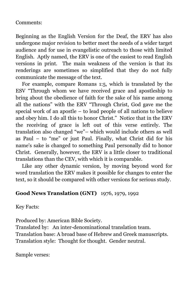#### Comments:

Beginning as the English Version for the Deaf, the ERV has also undergone major revision to better meet the needs of a wider target audience and for use in evangelistic outreach to those with limited English. Aptly named, the ERV is one of the easiest to read English versions in print. The main weakness of the version is that its renderings are sometimes so simplified that they do not fully communicate the message of the text.

For example, compare Romans 1:5, which is translated by the ESV "Through whom we have received grace and apostleship to bring about the obedience of faith for the sake of his name among all the nations" with the ERV "Through Christ, God gave me the special work of an apostle – to lead people of all nations to believe and obey him. I do all this to honor Christ." Notice that in the ERV the receiving of grace is left out of this verse entirely. The translation also changed "we"– which would include others as well as Paul – to "me" or just Paul. Finally, what Christ did for his name's sake is changed to something Paul personally did to honor Christ. Generally, however, the ERV is a little closer to traditional translations than the CEV, with which it is comparable.

Like any other dynamic version, by moving beyond word for word translation the ERV makes it possible for changes to enter the text, so it should be compared with other versions for serious study.

#### **Good News Translation (GNT)** 1976, 1979, 1992

Key Facts:

Produced by: American Bible Society.

Translated by: An inter-denominational translation team. Translation base: A broad base of Hebrew and Greek manuscripts.

Translation style: Thought for thought. Gender neutral.

Sample verses: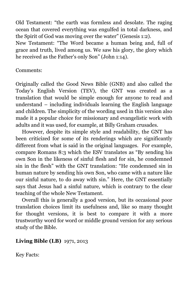Old Testament: "the earth was formless and desolate. The raging ocean that covered everything was engulfed in total darkness, and the Spirit of God was moving over the water" (Genesis 1:2).

New Testament: "The Word became a human being and, full of grace and truth, lived among us. We saw his glory, the glory which he received as the Father's only Son" (John 1:14).

#### Comments:

Originally called the Good News Bible (GNB) and also called the Today's English Version (TEV), the GNT was created as a translation that would be simple enough for anyone to read and understand – including individuals learning the English language and children. The simplicity of the wording used in this version also made it a popular choice for missionary and evangelistic work with adults and it was used, for example, at Billy Graham crusades.

However, despite its simple style and readability, the GNT has been criticized for some of its renderings which are significantly different from what is said in the original languages. For example, compare Romans 8:3 which the ESV translates as "By sending his own Son in the likeness of sinful flesh and for sin, he condemned sin in the flesh" with the GNT translation: "He condemned sin in human nature by sending his own Son, who came with a nature like our sinful nature, to do away with sin." Here, the GNT essentially says that Jesus had a sinful nature, which is contrary to the clear teaching of the whole New Testament.

Overall this is generally a good version, but its occasional poor translation choices limit its usefulness and, like so many thought for thought versions, it is best to compare it with a more trustworthy word for word or middle ground version for any serious study of the Bible.

#### **Living Bible (LB)** 1971, 2013

Key Facts: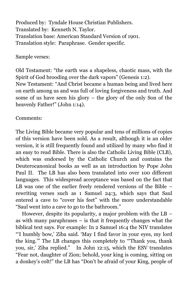Produced by: Tyndale House Christian Publishers. Translated by: Kenneth N. Taylor. Translation base: American Standard Version of 1901. Translation style: Paraphrase. Gender specific.

Sample verses:

Old Testament: "the earth was a shapeless, chaotic mass, with the Spirit of God brooding over the dark vapors" (Genesis 1:2). New Testament: "And Christ became a human being and lived here on earth among us and was full of loving forgiveness and truth. And some of us have seen his glory – the glory of the only Son of the heavenly Father!" (John 1:14).

Comments:

The Living Bible became very popular and tens of millions of copies of this version have been sold. As a result, although it is an older version, it is still frequently found and utilized by many who find it an easy to read Bible. There is also the Catholic Living Bible (CLB), which was endorsed by the Catholic Church and contains the Deuterocanonical books as well as an introduction by Pope John Paul II. The LB has also been translated into over 100 different languages. This widespread acceptance was based on the fact that LB was one of the earlier freely rendered versions of the Bible – rewriting verses such as 1 Samuel 24:3, which says that Saul entered a cave to "cover his feet" with the more understandable "Saul went into a cave to go to the bathroom."

However, despite its popularity, a major problem with the LB – as with many paraphrases  $-$  is that it frequently changes what the biblical text says. For example: In 2 Samuel 16:4 the NIV translates "'I humbly bow,' Ziba said. 'May I find favor in your eyes, my lord the king.'" The LB changes this completely to '"Thank you, thank you, sir,' Ziba replied." In John 12:15, which the ESV translates "Fear not, daughter of Zion; behold, your king is coming, sitting on a donkey's colt!" the LB has "Don't be afraid of your King, people of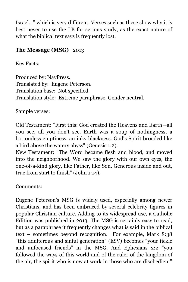Israel…" which is very different. Verses such as these show why it is best never to use the LB for serious study, as the exact nature of what the biblical text says is frequently lost.

#### **The Message (MSG)** 2013

Key Facts:

Produced by: NavPress. Translated by: Eugene Peterson. Translation base: Not specified. Translation style: Extreme paraphrase. Gender neutral.

Sample verses:

Old Testament: "First this: God created the Heavens and Earth—all you see, all you don't see. Earth was a soup of nothingness, a bottomless emptiness, an inky blackness. God's Spirit brooded like a bird above the watery abyss" (Genesis 1:2).

New Testament: "The Word became flesh and blood, and moved into the neighborhood. We saw the glory with our own eyes, the one-of-a-kind glory, like Father, like Son, Generous inside and out, true from start to finish" (John 1:14).

Comments:

Eugene Peterson's MSG is widely used, especially among newer Christians, and has been embraced by several celebrity figures in popular Christian culture. Adding to its widespread use, a Catholic Edition was published in 2013. The MSG is certainly easy to read, but as a paraphrase it frequently changes what is said in the biblical text – sometimes beyond recognition. For example, Mark 8:38 "this adulterous and sinful generation" (ESV) becomes "your fickle and unfocused friends" in the MSG. And Ephesians 2:2 "you followed the ways of this world and of the ruler of the kingdom of the air, the spirit who is now at work in those who are disobedient"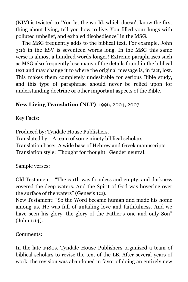(NIV) is twisted to "You let the world, which doesn't know the first thing about living, tell you how to live. You filled your lungs with polluted unbelief, and exhaled disobedience" in the MSG.

The MSG frequently adds to the biblical text. For example, John 3:16 in the ESV is seventeen words long. In the MSG this same verse is almost a hundred words longer! Extreme paraphrases such as MSG also frequently lose many of the details found in the biblical text and may change it to where the original message is, in fact, lost. This makes them completely undesirable for serious Bible study, and this type of paraphrase should never be relied upon for understanding doctrine or other important aspects of the Bible.

#### **New Living Translation (NLT)** 1996, 2004, 2007

Key Facts:

Produced by: Tyndale House Publishers. Translated by: A team of some ninety biblical scholars. Translation base: A wide base of Hebrew and Greek manuscripts. Translation style: Thought for thought. Gender neutral.

Sample verses:

Old Testament: "The earth was formless and empty, and darkness covered the deep waters. And the Spirit of God was hovering over the surface of the waters" (Genesis 1:2).

New Testament: "So the Word became human and made his home among us. He was full of unfailing love and faithfulness. And we have seen his glory, the glory of the Father's one and only Son" (John 1:14).

Comments:

In the late 1980s, Tyndale House Publishers organized a team of biblical scholars to revise the text of the LB. After several years of work, the revision was abandoned in favor of doing an entirely new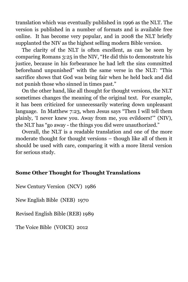translation which was eventually published in 1996 as the NLT. The version is published in a number of formats and is available free online. It has become very popular, and in 2008 the NLT briefly supplanted the NIV as the highest selling modern Bible version.

The clarity of the NLT is often excellent, as can be seen by comparing Romans 3:25 in the NIV, "He did this to demonstrate his justice, because in his forbearance he had left the sins committed beforehand unpunished" with the same verse in the NLT: "This sacrifice shows that God was being fair when he held back and did not punish those who sinned in times past."

On the other hand, like all thought for thought versions, the NLT sometimes changes the meaning of the original text. For example, it has been criticized for unnecessarily watering down unpleasant language. In Matthew 7:23, when Jesus says "Then I will tell them plainly, 'I never knew you. Away from me, you evildoers!'" (NIV), the NLT has "go away - the things you did were unauthorized."

Overall, the NLT is a readable translation and one of the more moderate thought for thought versions – though like all of them it should be used with care, comparing it with a more literal version for serious study.

#### **Some Other Thought for Thought Translations**

New Century Version (NCV) 1986

New English Bible (NEB) 1970

Revised English Bible (REB) 1989

The Voice Bible (VOICE) 2012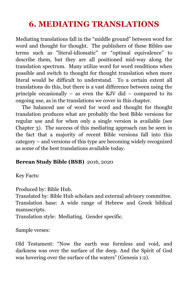## <span id="page-42-0"></span>**6. MEDIATING TRANSLATIONS**

Mediating translations fall in the "middle ground" between word for word and thought for thought. The publishers of these Bibles use terms such as "literal-idiomatic" or "optimal equivalence" to describe them, but they are all positioned mid-way along the translation spectrum. Many utilize word for word renditions when possible and switch to thought for thought translation when more literal would be difficult to understand. To a certain extent all translations do this, but there is a vast difference between using the principle occasionally – as even the KJV did – compared to its ongoing use, as in the translations we cover in this chapter.

The balanced use of word for word and thought for thought translation produces what are probably the best Bible versions for regular use and for when only a single version is available (see Chapter 3). The success of this mediating approach can be seen in the fact that a majority of recent Bible versions fall into this category – and versions of this type are becoming widely recognized as some of the best translations available today.

#### **Berean Study Bible (BSB)** 2016, 2020

Key Facts:

Produced by: Bible Hub.

Translated by: Bible Hub scholars and external advisory committee. Translation base: A wide range of Hebrew and Greek biblical manuscripts.

Translation style: Mediating. Gender specific.

Sample verses:

Old Testament: "Now the earth was formless and void, and darkness was over the surface of the deep. And the Spirit of God was hovering over the surface of the waters" (Genesis 1:2).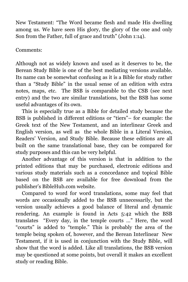New Testament: "The Word became flesh and made His dwelling among us. We have seen His glory, the glory of the one and only Son from the Father, full of grace and truth" (John 1:14).

Comments:

Although not as widely known and used as it deserves to be, the Berean Study Bible is one of the best mediating versions available. Its name can be somewhat confusing as it is a Bible for study rather than a "Study Bible" in the usual sense of an edition with extra notes, maps, etc. The BSB is comparable to the CSB (see next entry) and the two are similar translations, but the BSB has some useful advantages of its own.

This is especially true as a Bible for detailed study because the BSB is published in different editions or "tiers"– for example: the Greek text of the New Testament, and an interlinear Greek and English version, as well as the whole Bible in a Literal Version, Readers' Version, and Study Bible. Because these editions are all built on the same translational base, they can be compared for study purposes and this can be very helpful.

Another advantage of this version is that in addition to the printed editions that may be purchased, electronic editions and various study materials such as a concordance and topical Bible based on the BSB are available for free download from the publisher's BibleHub.com website.

Compared to word for word translations, some may feel that words are occasionally added to the BSB unnecessarily, but the version usually achieves a good balance of literal and dynamic rendering. An example is found in Acts 5:42 which the BSB translates "Every day, in the temple courts …" Here, the word "courts" is added to "temple." This is probably the area of the temple being spoken of, however, and the Berean Interlinear New Testament, if it is used in conjunction with the Study Bible, will show that the word is added. Like all translations, the BSB version may be questioned at some points, but overall it makes an excellent study or reading Bible.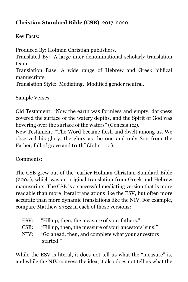#### **Christian Standard Bible (CSB)** 2017, 2020

Key Facts:

Produced By: Holman Christian publishers. Translated By: A large inter-denominational scholarly translation team. Translation Base: A wide range of Hebrew and Greek biblical manuscripts. Translation Style: Mediating. Modified gender neutral.

Sample Verses:

Old Testament: "Now the earth was formless and empty, darkness covered the surface of the watery depths, and the Spirit of God was hovering over the surface of the waters" (Genesis 1:2).

New Testament: "The Word became flesh and dwelt among us. We observed his glory, the glory as the one and only Son from the Father, full of grace and truth" (John 1:14).

Comments:

The CSB grew out of the earlier Holman Christian Standard Bible (2004), which was an original translation from Greek and Hebrew manuscripts. The CSB is a successful mediating version that is more readable than more literal translations like the ESV, but often more accurate than more dynamic translations like the NIV. For example, compare Matthew 23:32 in each of those versions:

| ESV: | "Fill up, then, the measure of your fathers."                  |
|------|----------------------------------------------------------------|
| CSB: | "Fill up, then, the measure of your ancestors' sins!"          |
| NIV: | "Go ahead, then, and complete what your ancestors<br>started!" |
|      |                                                                |

While the ESV is literal, it does not tell us what the "measure" is, and while the NIV conveys the idea, it also does not tell us what the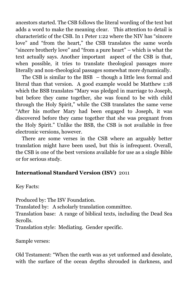ancestors started. The CSB follows the literal wording of the text but adds a word to make the meaning clear. This attention to detail is characteristic of the CSB. In 1 Peter 1:22 where the NIV has "sincere love" and "from the heart," the CSB translates the same words "sincere brotherly love" and "from a pure heart" – which is what the text actually says. Another important aspect of the CSB is that, when possible, it tries to translate theological passages more literally and non-theological passages somewhat more dynamically.

The CSB is similar to the BSB – though a little less formal and literal than that version. A good example would be Matthew 1:18 which the BSB translates "Mary was pledged in marriage to Joseph, but before they came together, she was found to be with child through the Holy Spirit," while the CSB translates the same verse "After his mother Mary had been engaged to Joseph, it was discovered before they came together that she was pregnant from the Holy Spirit." Unlike the BSB, the CSB is not available in free electronic versions, however.

There are some verses in the CSB where an arguably better translation might have been used, but this is infrequent. Overall, the CSB is one of the best versions available for use as a single Bible or for serious study.

#### **International Standard Version (ISV)** 2011

Key Facts:

Produced by: The ISV Foundation.

Translated by: A scholarly translation committee.

Translation base: A range of biblical texts, including the Dead Sea Scrolls.

Translation style: Mediating. Gender specific.

Sample verses:

Old Testament: "When the earth was as yet unformed and desolate, with the surface of the ocean depths shrouded in darkness, and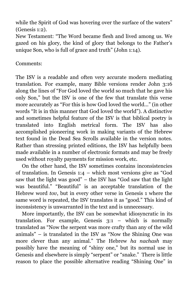while the Spirit of God was hovering over the surface of the waters" (Genesis 1:2).

New Testament: "The Word became flesh and lived among us. We gazed on his glory, the kind of glory that belongs to the Father's unique Son, who is full of grace and truth" (John 1:14).

#### Comments:

The ISV is a readable and often very accurate modern mediating translation. For example, many Bible versions render John 3:16 along the lines of "For God loved the world so much that he gave his only Son," but the ISV is one of the few that translate this verse more accurately as "For this is how God loved the world..." (in other words "It is in this manner that God loved the world"). A distinctive and sometimes helpful feature of the ISV is that biblical poetry is translated into English metrical form. The ISV has also accomplished pioneering work in making variants of the Hebrew text found in the Dead Sea Scrolls available in the version notes. Rather than stressing printed editions, the ISV has helpfully been made available in a number of electronic formats and may be freely used without royalty payments for mission work, etc.

On the other hand, the ISV sometimes contains inconsistencies of translation. In Genesis 1:4 – which most versions give as "God saw that the light was good" – the ISV has "God saw that the light was beautiful." "Beautiful" is an acceptable translation of the Hebrew word *tov*, but in every other verse in Genesis 1 where the same word is repeated, the ISV translates it as "good." This kind of inconsistency is unwarranted in the text and is unnecessary.

More importantly, the ISV can be somewhat idiosyncratic in its translation. For example, Genesis 3:1 – which is normally translated as "Now the serpent was more crafty than any of the wild animals" – is translated in the ISV as "Now the Shining One was more clever than any animal." The Hebrew *ha nachash* may possibly have the meaning of "shiny one," but its normal use in Genesis and elsewhere is simply "serpent" or "snake." There is little reason to place the possible alternative reading "Shining One" in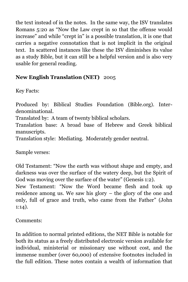the text instead of in the notes. In the same way, the ISV translates Romans 5:20 as "Now the Law crept in so that the offense would increase" and while "crept in" is a possible translation, it is one that carries a negative connotation that is not implicit in the original text. In scattered instances like these the ISV diminishes its value as a study Bible, but it can still be a helpful version and is also very usable for general reading.

#### **New English Translation (NET)** 2005

Key Facts:

Produced by: Biblical Studies Foundation (Bible.org). Interdenominational.

Translated by: A team of twenty biblical scholars.

Translation base: A broad base of Hebrew and Greek biblical manuscripts.

Translation style: Mediating. Moderately gender neutral.

Sample verses:

Old Testament: "Now the earth was without shape and empty, and darkness was over the surface of the watery deep, but the Spirit of God was moving over the surface of the water" (Genesis 1:2).

New Testament: "Now the Word became flesh and took up residence among us. We saw his glory – the glory of the one and only, full of grace and truth, who came from the Father" (John 1:14).

Comments:

In addition to normal printed editions, the NET Bible is notable for both its status as a freely distributed electronic version available for individual, ministerial or missionary use without cost, and the immense number (over 60,000) of extensive footnotes included in the full edition. These notes contain a wealth of information that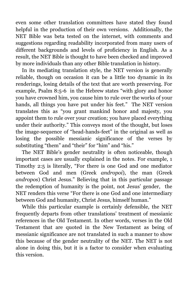even some other translation committees have stated they found helpful in the production of their own versions. Additionally, the NET Bible was beta tested on the internet, with comments and suggestions regarding readability incorporated from many users of different backgrounds and levels of proficiency in English. As a result, the NET Bible is thought to have been checked and improved by more individuals than any other Bible translation in history.

In its mediating translation style, the NET version is generally reliable, though on occasion it can be a little too dynamic in its renderings, losing details of the text that are worth preserving. For example, Psalm 8:5-6 in the Hebrew states "with glory and honor you have crowned him, you cause him to rule over the works of your hands, all things you have put under his feet." The NET version translates this as "you grant mankind honor and majesty, you appoint them to rule over your creation; you have placed everything under their authority." This conveys most of the thought, but loses the image-sequence of "head-hands-feet" in the original as well as losing the possible messianic significance of the verses by substituting "them" and "their" for "him" and "his."

The NET Bible's gender neutrality is often noticeable, though important cases are usually explained in the notes. For example, 1 Timothy 2:5 is literally, "For there is one God and one mediator between God and men (Greek *andropoi*), the man (Greek *andropos*) Christ Jesus." Believing that in this particular passage the redemption of humanity is the point, not Jesus' gender, the NET renders this verse "For there is one God and one intermediary between God and humanity, Christ Jesus, himself human."

While this particular example is certainly defensible, the NET frequently departs from other translations' treatment of messianic references in the Old Testament. In other words, verses in the Old Testament that are quoted in the New Testament as being of messianic significance are not translated in such a manner to show this because of the gender neutrality of the NET. The NET is not alone in doing this, but it is a factor to consider when evaluating this version.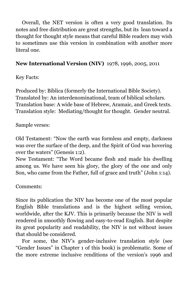Overall, the NET version is often a very good translation. Its notes and free distribution are great strengths, but its lean toward a thought for thought style means that careful Bible readers may wish to sometimes use this version in combination with another more literal one.

#### **New International Version (NIV)** 1978, 1996, 2005, 2011

Key Facts:

Produced by: Biblica (formerly the International Bible Society). Translated by: An interdenominational, team of biblical scholars. Translation base: A wide base of Hebrew, Aramaic, and Greek texts. Translation style: Mediating/thought for thought. Gender neutral.

Sample verses:

Old Testament: "Now the earth was formless and empty, darkness was over the surface of the deep, and the Spirit of God was hovering over the waters" (Genesis 1:2).

New Testament: "The Word became flesh and made his dwelling among us. We have seen his glory, the glory of the one and only Son, who came from the Father, full of grace and truth" (John 1:14).

Comments:

Since its publication the NIV has become one of the most popular English Bible translations and is the highest selling version, worldwide, after the KJV. This is primarily because the NIV is well rendered in smoothly flowing and easy-to-read English. But despite its great popularity and readability, the NIV is not without issues that should be considered.

For some, the NIV's gender-inclusive translation style (see "Gender Issues" in Chapter 1 of this book) is problematic. Some of the more extreme inclusive renditions of the version's 1996 and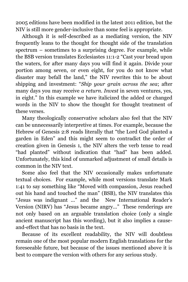2005 editions have been modified in the latest 2011 edition, but the NIV is still more gender-inclusive than some feel is appropriate.

Although it is self-described as a mediating version, the NIV frequently leans to the thought for thought side of the translation spectrum – sometimes to a surprising degree. For example, while the BSB version translates Ecclesiastes 11:1-2 "Cast your bread upon the waters, for after many days you will find it again. Divide your portion among seven, or even eight, for you do not know what disaster may befall the land," the NIV rewrites this to be about shipping and investment: "*Ship your grain across the sea*; after many days you may receive *a return. Invest* in seven ventures, yes, in eight." In this example we have italicized the added or changed words in the NIV to show the thought for thought treatment of these verses.

Many theologically conservative scholars also feel that the NIV can be unnecessarily interpretive at times. For example, because the Hebrew of Genesis 2:8 reads literally that "the Lord God planted a garden in Eden" and this might seem to contradict the order of creation given in Genesis 1, the NIV alters the verb tense to read "had planted" without indication that "had" has been added. Unfortunately, this kind of unmarked adjustment of small details is common in the NIV text.

Some also feel that the NIV occasionally makes unfortunate textual choices. For example, while most versions translate Mark 1:41 to say something like "Moved with compassion, Jesus reached out his hand and touched the man" (BSB), the NIV translates this "Jesus was indignant ..." and the New International Reader's Version (NIRV) has "Jesus became angry..." These renderings are not only based on an arguable translation choice (only a single ancient manuscript has this wording), but it also implies a causeand-effect that has no basis in the text.

Because of its excellent readability, the NIV will doubtless remain one of the most popular modern English translations for the foreseeable future, but because of the issues mentioned above it is best to compare the version with others for any serious study.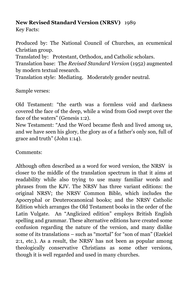#### **New Revised Standard Version (NRSV)** 1989

Key Facts:

Produced by: The National Council of Churches, an ecumenical Christian group.

Translated by: Protestant, Orthodox, and Catholic scholars.

Translation base: The *Revised Standard Version* (1952) augmented by modern textual research.

Translation style: Mediating. Moderately gender neutral.

Sample verses:

Old Testament: "the earth was a formless void and darkness covered the face of the deep, while a wind from God swept over the face of the waters" (Genesis 1:2).

New Testament: "And the Word became flesh and lived among us, and we have seen his glory, the glory as of a father's only son, full of grace and truth" (John 1:14).

Comments:

Although often described as a word for word version, the NRSV is closer to the middle of the translation spectrum in that it aims at readability while also trying to use many familiar words and phrases from the KJV. The NRSV has three variant editions: the original NRSV; the NRSV Common Bible, which includes the Apocryphal or Deuterocanonical books; and the NRSV Catholic Edition which arranges the Old Testament books in the order of the Latin Vulgate. An "Anglicized edition" employs British English spelling and grammar. These alternative editions have created some confusion regarding the nature of the version, and many dislike some of its translations – such as "mortal" for "son of man" (Ezekiel 2:1, etc.). As a result, the NRSV has not been as popular among theologically conservative Christians as some other versions, though it is well regarded and used in many churches.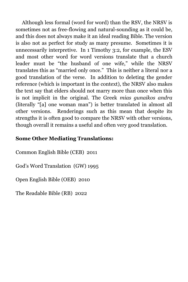Although less formal (word for word) than the RSV, the NRSV is sometimes not as free-flowing and natural-sounding as it could be, and this does not always make it an ideal reading Bible. The version is also not as perfect for study as many presume. Sometimes it is unnecessarily interpretive. In 1 Timothy 3:2, for example, the ESV and most other word for word versions translate that a church leader must be "the husband of one wife," while the NRSV translates this as "married only once." This is neither a literal nor a good translation of the verse. In addition to deleting the gender reference (which is important in the context), the NRSV also makes the text say that elders should not marry more than once when this is not implicit in the original. The Greek *mias gunaikos andra*  (literally "[a] one woman man") is better translated in almost all other versions. Renderings such as this mean that despite its strengths it is often good to compare the NRSV with other versions, though overall it remains a useful and often very good translation.

#### **Some Other Mediating Translations:**

Common English Bible (CEB) 2011

God's Word Translation (GW) 1995

Open English Bible (OEB) 2010

The Readable Bible (RB) 2022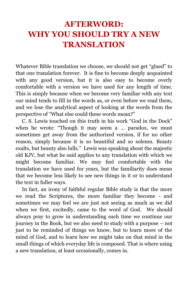## <span id="page-53-0"></span>**AFTERWORD: WHY YOU SHOULD TRY A NEW TRANSLATION**

Whatever Bible translation we choose, we should not get "glued" to that one translation forever. It is fine to become deeply acquainted with any good version, but it is also easy to become overly comfortable with a version we have used for any length of time. This is simply because when we become very familiar with any text our mind tends to fill in the words as, or even before we read them, and we lose the analytical aspect of looking at the words from the perspective of "What else could these words mean?"

C. S. Lewis touched on this truth in his work "God in the Dock" when he wrote: "Though it may seem a … paradox, we must sometimes get away from the authorized version, if for no other reason, simply because it is so beautiful and so solemn. Beauty exalts, but beauty also lulls." Lewis was speaking about the majestic old KJV, but what he said applies to any translation with which we might become familiar. We may feel comfortable with the translation we have used for years, but the familiarity does mean that we become less likely to see new things in it or to understand the text in fuller ways.

In fact, an irony of faithful regular Bible study is that the more we read the Scriptures, the more familiar they become - and sometimes we may feel we are just not seeing as much as we did when we first, excitedly, came to the word of God. We should always pray to grow in understanding each time we continue our journey in the Book, but we also need to study with a purpose – not just to be reminded of things we know, but to learn more of the mind of God, and to learn how we might take on that mind in the small things of which everyday life is composed. That is where using a new translation, at least occasionally, comes in.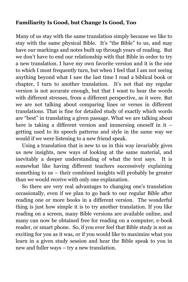#### **Familiarity Is Good, but Change Is Good, Too**

Many of us stay with the same translation simply because we like to stay with the same physical Bible. It's "the Bible" to us, and may have our markings and notes built up through years of reading. But we don't have to end our relationship with that Bible in order to try a new translation. I have my own favorite version and it is the one to which I most frequently turn, but when I feel that I am not seeing anything beyond what I saw the last time I read a biblical book or chapter, I turn to another translation. It's not that my regular version is not accurate enough, but that I want to hear the words with different stresses, from a different perspective, as it were. But we are not talking about comparing lines or verses in different translations. That is fine for detailed study of exactly which words are "best" in translating a given passage. What we are talking about here is taking a different version and immersing oneself in it – getting used to its speech patterns and style in the same way we would if we were listening to a new friend speak.

Using a translation that is new to us in this way invariably gives us new insights, new ways of looking at the same material, and inevitably a deeper understanding of what the text says. It is somewhat like having different teachers successively explaining something to us – their combined insights will probably be greater than we would receive with only one explanation.

So there are very real advantages to changing one's translation occasionally, even if we plan to go back to our regular Bible after reading one or more books in a different version. The wonderful thing is just how simple it is to try another translation. If you like reading on a screen, many Bible versions are available online, and many can now be obtained free for reading on a computer, e-book reader, or smart phone. So, if you ever feel that Bible study is not as exciting for you as it was, or if you would like to maximize what you learn in a given study session and hear the Bible speak to you in new and fuller ways – try a new translation.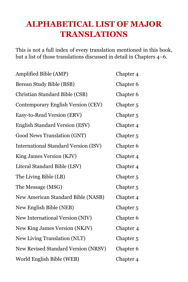## <span id="page-55-0"></span>**ALPHABETICAL LIST OF MAJOR TRANSLATIONS**

This is not a full index of every translation mentioned in this book, but a list of those translations discussed in detail in Chapters 4–6.

| Amplified Bible (AMP)                       | Chapter <sub>4</sub> |
|---------------------------------------------|----------------------|
| Berean Study Bible (BSB)                    | Chapter 6            |
| Christian Standard Bible (CSB)              | Chapter <sub>6</sub> |
| <b>Contemporary English Version (CEV)</b>   | Chapter <sub>5</sub> |
| Easy-to-Read Version (ERV)                  | Chapter <sub>5</sub> |
| <b>English Standard Version (ESV)</b>       | Chapter <sub>4</sub> |
| Good News Translation (GNT)                 | Chapter <sub>5</sub> |
| <b>International Standard Version (ISV)</b> | Chapter <sub>6</sub> |
| King James Version (KJV)                    | Chapter <sub>4</sub> |
| Literal Standard Bible (LSV)                | Chapter <sub>4</sub> |
| The Living Bible (LB)                       | Chapter <sub>5</sub> |
| The Message (MSG)                           | Chapter <sub>5</sub> |
| New American Standard Bible (NASB)          | Chapter <sub>4</sub> |
| New English Bible (NEB)                     | Chapter <sub>5</sub> |
| New International Version (NIV)             | Chapter 6            |
| New King James Version (NKJV)               | Chapter <sub>4</sub> |
| New Living Translation (NLT)                | Chapter <sub>5</sub> |
| New Revised Standard Version (NRSV)         | Chapter <sub>6</sub> |
| World English Bible (WEB)                   | Chapter 4            |